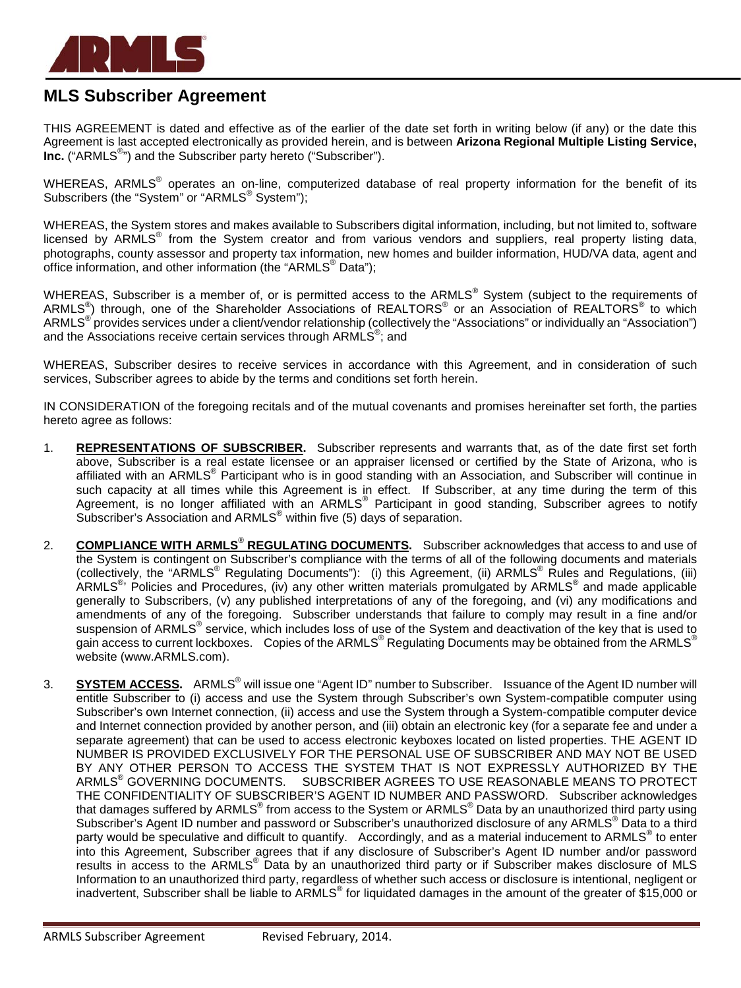

## **MLS Subscriber Agreement**

THIS AGREEMENT is dated and effective as of the earlier of the date set forth in writing below (if any) or the date this Agreement is last accepted electronically as provided herein, and is between **Arizona Regional Multiple Listing Service,**  Inc. ("ARMLS<sup>®</sup>") and the Subscriber party hereto ("Subscriber").

WHEREAS, ARMLS<sup>®</sup> operates an on-line, computerized database of real property information for the benefit of its Subscribers (the "System" or "ARMLS<sup>®</sup> System");

WHEREAS, the System stores and makes available to Subscribers digital information, including, but not limited to, software licensed by ARMLS® from the System creator and from various vendors and suppliers, real property listing data, photographs, county assessor and property tax information, new homes and builder information, HUD/VA data, agent and office information, and other information (the "ARMLS® Data");

WHEREAS, Subscriber is a member of, or is permitted access to the ARMLS<sup>®</sup> System (subject to the requirements of ARMLS $^{\circ}$ ) through, one of the Shareholder Associations of REALTORS $^{\circ}$  or an Association of REALTORS $^{\circ}$  to which ARMLS<sup>®</sup> provides services under a client/vendor relationship (collectively the "Associations" or individually an "Association") and the Associations receive certain services through ARMLS<sup>®</sup>; and

WHEREAS, Subscriber desires to receive services in accordance with this Agreement, and in consideration of such services, Subscriber agrees to abide by the terms and conditions set forth herein.

IN CONSIDERATION of the foregoing recitals and of the mutual covenants and promises hereinafter set forth, the parties hereto agree as follows:

- 1. **REPRESENTATIONS OF SUBSCRIBER.** Subscriber represents and warrants that, as of the date first set forth above, Subscriber is a real estate licensee or an appraiser licensed or certified by the State of Arizona, who is affiliated with an ARMLS<sup>®</sup> Participant who is in good standing with an Association, and Subscriber will continue in such capacity at all times while this Agreement is in effect. If Subscriber, at any time during the term of this Agreement, is no longer affiliated with an ARMLS® Participant in good standing, Subscriber agrees to notify Subscriber's Association and ARMLS® within five (5) days of separation.
- 2. **COMPLIANCE WITH ARMLS**® **REGULATING DOCUMENTS.** Subscriber acknowledges that access to and use of the System is contingent on Subscriber's compliance with the terms of all of the following documents and materials (collectively, the "ARMLS® Regulating Documents"): (i) this Agreement, (ii) ARMLS® Rules and Regulations, (iii) ARMLS<sup>®</sup>' Policies and Procedures, (iv) any other written materials promulgated by ARMLS<sup>®</sup> and made applicable generally to Subscribers, (v) any published interpretations of any of the foregoing, and (vi) any modifications and amendments of any of the foregoing. Subscriber understands that failure to comply may result in a fine and/or suspension of ARMLS<sup>®</sup> service, which includes loss of use of the System and deactivation of the key that is used to gain access to current lockboxes. Copies of the ARMLS<sup>®</sup> Regulating Documents may be obtained from the ARMLS<sup>®</sup> website (www.ARMLS.com).
- 3. **SYSTEM ACCESS.** ARMLS® will issue one "Agent ID" number to Subscriber. Issuance of the Agent ID number will entitle Subscriber to (i) access and use the System through Subscriber's own System-compatible computer using Subscriber's own Internet connection, (ii) access and use the System through a System-compatible computer device and Internet connection provided by another person, and (iii) obtain an electronic key (for a separate fee and under a separate agreement) that can be used to access electronic keyboxes located on listed properties. THE AGENT ID NUMBER IS PROVIDED EXCLUSIVELY FOR THE PERSONAL USE OF SUBSCRIBER AND MAY NOT BE USED BY ANY OTHER PERSON TO ACCESS THE SYSTEM THAT IS NOT EXPRESSLY AUTHORIZED BY THE ARMLS® GOVERNING DOCUMENTS. SUBSCRIBER AGREES TO USE REASONABLE MEANS TO PROTECT THE CONFIDENTIALITY OF SUBSCRIBER'S AGENT ID NUMBER AND PASSWORD. Subscriber acknowledges that damages suffered by ARMLS® from access to the System or ARMLS® Data by an unauthorized third party using Subscriber's Agent ID number and password or Subscriber's unauthorized disclosure of any ARMLS<sup>®</sup> Data to a third party would be speculative and difficult to quantify. Accordingly, and as a material inducement to ARMLS<sup>®</sup> to enter into this Agreement, Subscriber agrees that if any disclosure of Subscriber's Agent ID number and/or password results in access to the ARMLS® Data by an unauthorized third party or if Subscriber makes disclosure of MLS Information to an unauthorized third party, regardless of whether such access or disclosure is intentional, negligent or inadvertent, Subscriber shall be liable to ARMLS<sup>®</sup> for liquidated damages in the amount of the greater of \$15,000 or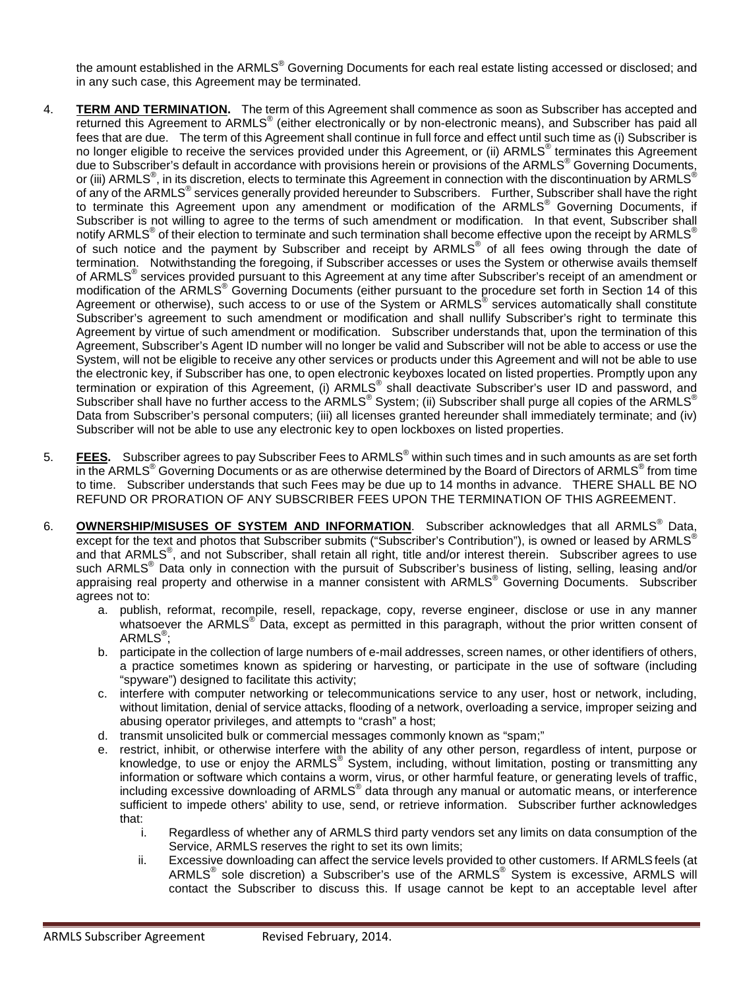the amount established in the ARMLS<sup>®</sup> Governing Documents for each real estate listing accessed or disclosed; and in any such case, this Agreement may be terminated.

- 4. **TERM AND TERMINATION.** The term of this Agreement shall commence as soon as Subscriber has accepted and returned this Agreement to ARMLS<sup>®</sup> (either electronically or by non-electronic means), and Subscriber has paid all fees that are due. The term of this Agreement shall continue in full force and effect until such time as (i) Subscriber is no longer eligible to receive the services provided under this Agreement, or (ii) ARMLS<sup>®</sup> terminates this Agreement due to Subscriber's default in accordance with provisions herein or provisions of the ARMLS® Governing Documents, or (iii) ARMLS<sup>®</sup>, in its discretion, elects to terminate this Agreement in connection with the discontinuation by ARMLS<sup>®</sup> of any of the ARMLS<sup>®</sup> services generally provided hereunder to Subscribers. Further, Subscriber shall have the right to terminate this Agreement upon any amendment or modification of the ARMLS<sup>®</sup> Governing Documents, if Subscriber is not willing to agree to the terms of such amendment or modification. In that event, Subscriber shall notify ARMLS<sup>®</sup> of their election to terminate and such termination shall become effective upon the receipt by ARMLS<sup>®</sup> of such notice and the payment by Subscriber and receipt by ARMLS® of all fees owing through the date of termination. Notwithstanding the foregoing, if Subscriber accesses or uses the System or otherwise avails themself of ARMLS® services provided pursuant to this Agreement at any time after Subscriber's receipt of an amendment or modification of the ARMLS<sup>®</sup> Governing Documents (either pursuant to the procedure set forth in Section 14 of this Agreement or otherwise), such access to or use of the System or ARMLS<sup>®</sup> services automatically shall constitute Subscriber's agreement to such amendment or modification and shall nullify Subscriber's right to terminate this Agreement by virtue of such amendment or modification. Subscriber understands that, upon the termination of this Agreement, Subscriber's Agent ID number will no longer be valid and Subscriber will not be able to access or use the System, will not be eligible to receive any other services or products under this Agreement and will not be able to use the electronic key, if Subscriber has one, to open electronic keyboxes located on listed properties. Promptly upon any termination or expiration of this Agreement, (i) ARMLS<sup>®</sup> shall deactivate Subscriber's user ID and password, and Subscriber shall have no further access to the ARMLS® System; (ii) Subscriber shall purge all copies of the ARMLS® Data from Subscriber's personal computers; (iii) all licenses granted hereunder shall immediately terminate; and (iv) Subscriber will not be able to use any electronic key to open lockboxes on listed properties.
- 5. **FEES.** Subscriber agrees to pay Subscriber Fees to ARMLS® within such times and in such amounts as are set forth in the ARMLS<sup>®</sup> Governing Documents or as are otherwise determined by the Board of Directors of ARMLS<sup>®</sup> from time to time. Subscriber understands that such Fees may be due up to 14 months in advance. THERE SHALL BE NO REFUND OR PRORATION OF ANY SUBSCRIBER FEES UPON THE TERMINATION OF THIS AGREEMENT.
- 6. **OWNERSHIP/MISUSES OF SYSTEM AND INFORMATION**. Subscriber acknowledges that all ARMLS<sup>®</sup> Data, except for the text and photos that Subscriber submits ("Subscriber's Contribution"), is owned or leased by ARMLS<sup>®</sup> and that ARMLS<sup>®</sup>, and not Subscriber, shall retain all right, title and/or interest therein. Subscriber agrees to use such ARMLS<sup>®</sup> Data only in connection with the pursuit of Subscriber's business of listing, selling, leasing and/or appraising real property and otherwise in a manner consistent with ARMLS<sup>®</sup> Governing Documents. Subscriber agrees not to:
	- a. publish, reformat, recompile, resell, repackage, copy, reverse engineer, disclose or use in any manner whatsoever the ARMLS<sup>®</sup> Data, except as permitted in this paragraph, without the prior written consent of <code>ARMLS $^\circ$ ;</code>
	- b. participate in the collection of large numbers of e-mail addresses, screen names, or other identifiers of others, a practice sometimes known as spidering or harvesting, or participate in the use of software (including "spyware") designed to facilitate this activity;
	- c. interfere with computer networking or telecommunications service to any user, host or network, including, without limitation, denial of service attacks, flooding of a network, overloading a service, improper seizing and abusing operator privileges, and attempts to "crash" a host;
	- d. transmit unsolicited bulk or commercial messages commonly known as "spam;"
	- e. restrict, inhibit, or otherwise interfere with the ability of any other person, regardless of intent, purpose or knowledge, to use or enjoy the ARMLS® System, including, without limitation, posting or transmitting any information or software which contains a worm, virus, or other harmful feature, or generating levels of traffic, including excessive downloading of ARMLS<sup>®</sup> data through any manual or automatic means, or interference sufficient to impede others' ability to use, send, or retrieve information. Subscriber further acknowledges that:
		- i. Regardless of whether any of ARMLS third party vendors set any limits on data consumption of the Service, ARMLS reserves the right to set its own limits;
		- ii. Excessive downloading can affect the service levels provided to other customers. If ARMLSfeels (at ARMLS<sup>®</sup> sole discretion) a Subscriber's use of the ARMLS<sup>®</sup> System is excessive, ARMLS will contact the Subscriber to discuss this. If usage cannot be kept to an acceptable level after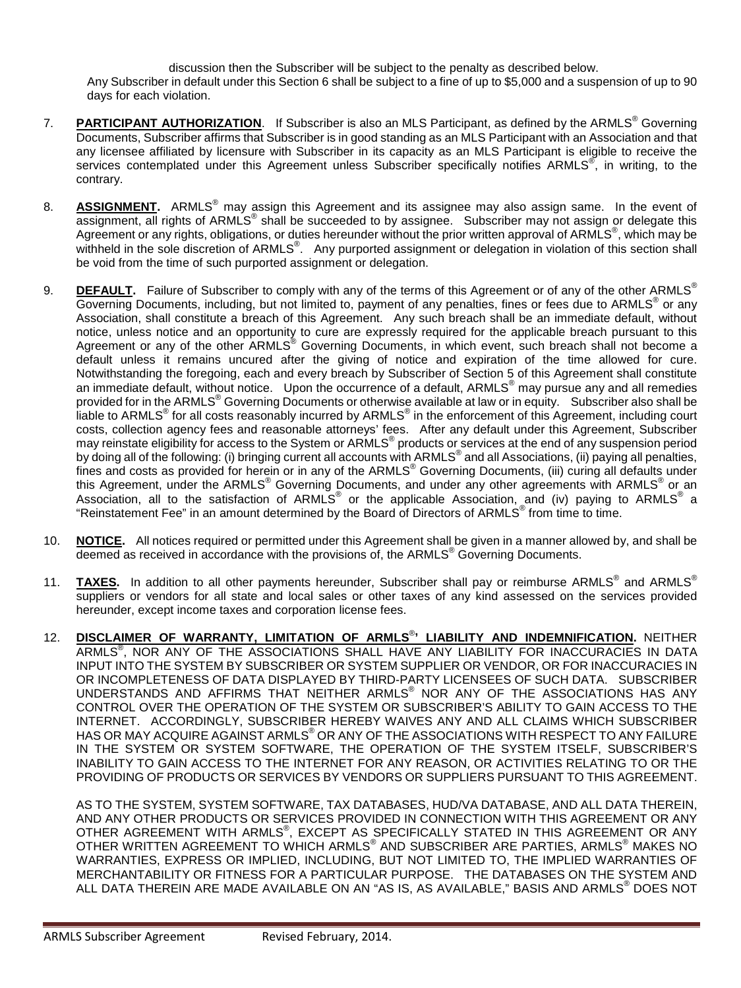discussion then the Subscriber will be subject to the penalty as described below. Any Subscriber in default under this Section 6 shall be subject to a fine of up to \$5,000 and a suspension of up to 90 days for each violation.

- 7. **PARTICIPANT AUTHORIZATION**. If Subscriber is also an MLS Participant, as defined by the ARMLS® Governing Documents, Subscriber affirms that Subscriber is in good standing as an MLS Participant with an Association and that any licensee affiliated by licensure with Subscriber in its capacity as an MLS Participant is eligible to receive the services contemplated under this Agreement unless Subscriber specifically notifies ARMLS<sup>®</sup>, in writing, to the contrary.
- 8. **ASSIGNMENT.** ARMLS® may assign this Agreement and its assignee may also assign same. In the event of assignment, all rights of ARMLS<sup>®</sup> shall be succeeded to by assignee. Subscriber may not assign or delegate this Agreement or any rights, obligations, or duties hereunder without the prior written approval of ARMLS®, which may be withheld in the sole discretion of ARMLS®. Any purported assignment or delegation in violation of this section shall be void from the time of such purported assignment or delegation.
- 9. **DEFAULT.** Failure of Subscriber to comply with any of the terms of this Agreement or of any of the other ARMLS<sup>®</sup> Governing Documents, including, but not limited to, payment of any penalties, fines or fees due to ARMLS® or any Association, shall constitute a breach of this Agreement. Any such breach shall be an immediate default, without notice, unless notice and an opportunity to cure are expressly required for the applicable breach pursuant to this Agreement or any of the other ARMLS® Governing Documents, in which event, such breach shall not become a default unless it remains uncured after the giving of notice and expiration of the time allowed for cure. Notwithstanding the foregoing, each and every breach by Subscriber of Section 5 of this Agreement shall constitute an immediate default, without notice. Upon the occurrence of a default, ARMLS® may pursue any and all remedies provided for in the ARMLS<sup>®</sup> Governing Documents or otherwise available at law or in equity. Subscriber also shall be liable to ARMLS® for all costs reasonably incurred by ARMLS® in the enforcement of this Agreement, including court costs, collection agency fees and reasonable attorneys' fees. After any default under this Agreement, Subscriber may reinstate eligibility for access to the System or ARMLS® products or services at the end of any suspension period by doing all of the following: (i) bringing current all accounts with ARMLS<sup>®</sup> and all Associations, (ii) paying all penalties, fines and costs as provided for herein or in any of the ARMLS<sup>®</sup> Governing Documents, (iii) curing all defaults under this Agreement, under the ARMLS<sup>®</sup> Governing Documents, and under any other agreements with ARMLS<sup>®</sup> or an Association, all to the satisfaction of ARMLS<sup>®</sup> or the applicable Association, and (iv) paying to ARMLS<sup>®</sup> a "Reinstatement Fee" in an amount determined by the Board of Directors of ARMLS® from time to time.
- 10. **NOTICE.** All notices required or permitted under this Agreement shall be given in a manner allowed by, and shall be deemed as received in accordance with the provisions of, the ARMLS<sup>®</sup> Governing Documents.
- 11. **TAXES.** In addition to all other payments hereunder, Subscriber shall pay or reimburse ARMLS<sup>®</sup> and ARMLS<sup>®</sup> suppliers or vendors for all state and local sales or other taxes of any kind assessed on the services provided hereunder, except income taxes and corporation license fees.
- 12. **DISCLAIMER OF WARRANTY, LIMITATION OF ARMLS**® **' LIABILITY AND INDEMNIFICATION.** NEITHER ARMLS® , NOR ANY OF THE ASSOCIATIONS SHALL HAVE ANY LIABILITY FOR INACCURACIES IN DATA INPUT INTO THE SYSTEM BY SUBSCRIBER OR SYSTEM SUPPLIER OR VENDOR, OR FOR INACCURACIES IN OR INCOMPLETENESS OF DATA DISPLAYED BY THIRD-PARTY LICENSEES OF SUCH DATA. SUBSCRIBER UNDERSTANDS AND AFFIRMS THAT NEITHER ARMLS® NOR ANY OF THE ASSOCIATIONS HAS ANY CONTROL OVER THE OPERATION OF THE SYSTEM OR SUBSCRIBER'S ABILITY TO GAIN ACCESS TO THE INTERNET. ACCORDINGLY, SUBSCRIBER HEREBY WAIVES ANY AND ALL CLAIMS WHICH SUBSCRIBER HAS OR MAY ACQUIRE AGAINST ARMLS® OR ANY OF THE ASSOCIATIONS WITH RESPECT TO ANY FAILURE IN THE SYSTEM OR SYSTEM SOFTWARE, THE OPERATION OF THE SYSTEM ITSELF, SUBSCRIBER'S INABILITY TO GAIN ACCESS TO THE INTERNET FOR ANY REASON, OR ACTIVITIES RELATING TO OR THE PROVIDING OF PRODUCTS OR SERVICES BY VENDORS OR SUPPLIERS PURSUANT TO THIS AGREEMENT.

AS TO THE SYSTEM, SYSTEM SOFTWARE, TAX DATABASES, HUD/VA DATABASE, AND ALL DATA THEREIN, AND ANY OTHER PRODUCTS OR SERVICES PROVIDED IN CONNECTION WITH THIS AGREEMENT OR ANY OTHER AGREEMENT WITH ARMLS®, EXCEPT AS SPECIFICALLY STATED IN THIS AGREEMENT OR ANY OTHER WRITTEN AGREEMENT TO WHICH ARMLS® AND SUBSCRIBER ARE PARTIES, ARMLS® MAKES NO WARRANTIES, EXPRESS OR IMPLIED, INCLUDING, BUT NOT LIMITED TO, THE IMPLIED WARRANTIES OF MERCHANTABILITY OR FITNESS FOR A PARTICULAR PURPOSE. THE DATABASES ON THE SYSTEM AND ALL DATA THEREIN ARE MADE AVAILABLE ON AN "AS IS, AS AVAILABLE," BASIS AND ARMLS® DOES NOT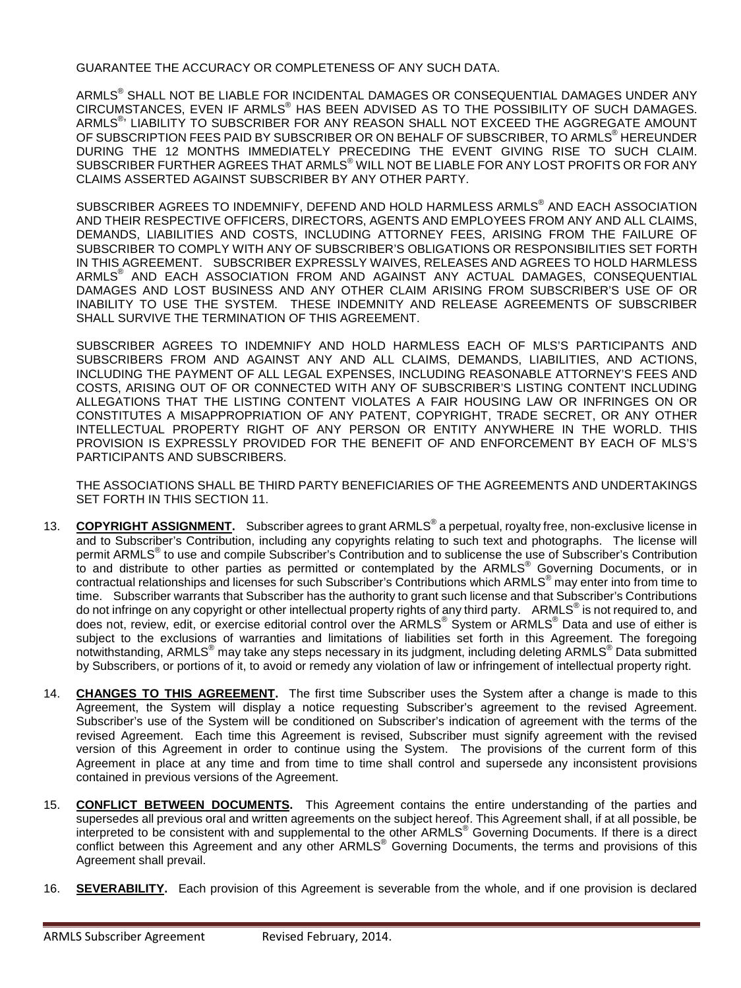GUARANTEE THE ACCURACY OR COMPLETENESS OF ANY SUCH DATA.

ARMLS® SHALL NOT BE LIABLE FOR INCIDENTAL DAMAGES OR CONSEQUENTIAL DAMAGES UNDER ANY CIRCUMSTANCES, EVEN IF ARMLS® HAS BEEN ADVISED AS TO THE POSSIBILITY OF SUCH DAMAGES. ARMLS® ' LIABILITY TO SUBSCRIBER FOR ANY REASON SHALL NOT EXCEED THE AGGREGATE AMOUNT OF SUBSCRIPTION FEES PAID BY SUBSCRIBER OR ON BEHALF OF SUBSCRIBER, TO ARMLS<sup>®</sup> HEREUNDER DURING THE 12 MONTHS IMMEDIATELY PRECEDING THE EVENT GIVING RISE TO SUCH CLAIM. SUBSCRIBER FURTHER AGREES THAT ARMLS® WILL NOT BE LIABLE FOR ANY LOST PROFITS OR FOR ANY CLAIMS ASSERTED AGAINST SUBSCRIBER BY ANY OTHER PARTY.

SUBSCRIBER AGREES TO INDEMNIFY, DEFEND AND HOLD HARMLESS ARMLS<sup>®</sup> AND EACH ASSOCIATION AND THEIR RESPECTIVE OFFICERS, DIRECTORS, AGENTS AND EMPLOYEES FROM ANY AND ALL CLAIMS, DEMANDS, LIABILITIES AND COSTS, INCLUDING ATTORNEY FEES, ARISING FROM THE FAILURE OF SUBSCRIBER TO COMPLY WITH ANY OF SUBSCRIBER'S OBLIGATIONS OR RESPONSIBILITIES SET FORTH IN THIS AGREEMENT. SUBSCRIBER EXPRESSLY WAIVES, RELEASES AND AGREES TO HOLD HARMLESS ARMLS® AND EACH ASSOCIATION FROM AND AGAINST ANY ACTUAL DAMAGES, CONSEQUENTIAL DAMAGES AND LOST BUSINESS AND ANY OTHER CLAIM ARISING FROM SUBSCRIBER'S USE OF OR INABILITY TO USE THE SYSTEM. THESE INDEMNITY AND RELEASE AGREEMENTS OF SUBSCRIBER SHALL SURVIVE THE TERMINATION OF THIS AGREEMENT.

SUBSCRIBER AGREES TO INDEMNIFY AND HOLD HARMLESS EACH OF MLS'S PARTICIPANTS AND SUBSCRIBERS FROM AND AGAINST ANY AND ALL CLAIMS, DEMANDS, LIABILITIES, AND ACTIONS, INCLUDING THE PAYMENT OF ALL LEGAL EXPENSES, INCLUDING REASONABLE ATTORNEY'S FEES AND COSTS, ARISING OUT OF OR CONNECTED WITH ANY OF SUBSCRIBER'S LISTING CONTENT INCLUDING ALLEGATIONS THAT THE LISTING CONTENT VIOLATES A FAIR HOUSING LAW OR INFRINGES ON OR CONSTITUTES A MISAPPROPRIATION OF ANY PATENT, COPYRIGHT, TRADE SECRET, OR ANY OTHER INTELLECTUAL PROPERTY RIGHT OF ANY PERSON OR ENTITY ANYWHERE IN THE WORLD. THIS PROVISION IS EXPRESSLY PROVIDED FOR THE BENEFIT OF AND ENFORCEMENT BY EACH OF MLS'S PARTICIPANTS AND SUBSCRIBERS.

THE ASSOCIATIONS SHALL BE THIRD PARTY BENEFICIARIES OF THE AGREEMENTS AND UNDERTAKINGS SET FORTH IN THIS SECTION 11.

- 13. **COPYRIGHT ASSIGNMENT.** Subscriber agrees to grant ARMLS® a perpetual, royalty free, non-exclusive license in and to Subscriber's Contribution, including any copyrights relating to such text and photographs. The license will permit ARMLS® to use and compile Subscriber's Contribution and to sublicense the use of Subscriber's Contribution to and distribute to other parties as permitted or contemplated by the ARMLS® Governing Documents, or in contractual relationships and licenses for such Subscriber's Contributions which ARMLS® may enter into from time to time. Subscriber warrants that Subscriber has the authority to grant such license and that Subscriber's Contributions do not infringe on any copyright or other intellectual property rights of any third party. ARMLS<sup>®</sup> is not required to, and does not, review, edit, or exercise editorial control over the ARMLS<sup>®</sup> System or ARMLS<sup>®</sup> Data and use of either is subject to the exclusions of warranties and limitations of liabilities set forth in this Agreement. The foregoing notwithstanding, ARMLS® may take any steps necessary in its judgment, including deleting ARMLS® Data submitted by Subscribers, or portions of it, to avoid or remedy any violation of law or infringement of intellectual property right.
- 14. **CHANGES TO THIS AGREEMENT.** The first time Subscriber uses the System after a change is made to this Agreement, the System will display a notice requesting Subscriber's agreement to the revised Agreement. Subscriber's use of the System will be conditioned on Subscriber's indication of agreement with the terms of the revised Agreement. Each time this Agreement is revised, Subscriber must signify agreement with the revised version of this Agreement in order to continue using the System. The provisions of the current form of this Agreement in place at any time and from time to time shall control and supersede any inconsistent provisions contained in previous versions of the Agreement.
- 15. **CONFLICT BETWEEN DOCUMENTS.** This Agreement contains the entire understanding of the parties and supersedes all previous oral and written agreements on the subject hereof. This Agreement shall, if at all possible, be interpreted to be consistent with and supplemental to the other ARMLS<sup>®</sup> Governing Documents. If there is a direct conflict between this Agreement and any other ARMLS<sup>®</sup> Governing Documents, the terms and provisions of this Agreement shall prevail.
- 16. **SEVERABILITY.** Each provision of this Agreement is severable from the whole, and if one provision is declared